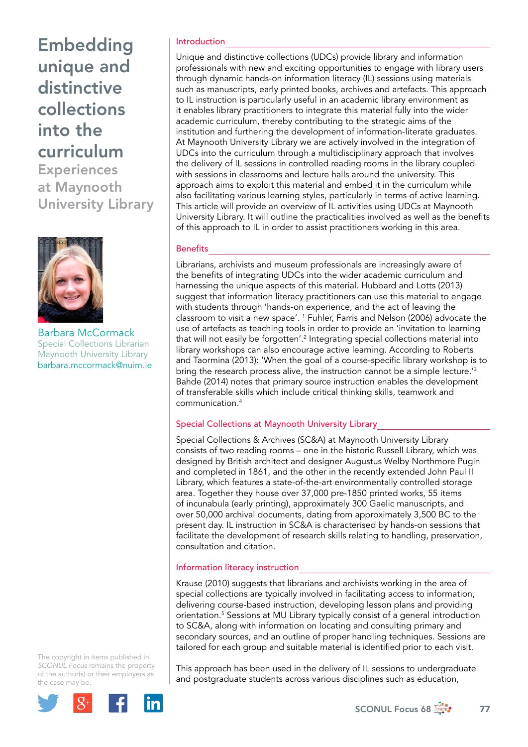**Experiences** at Maynooth University Library



Barbara McCormack Special Collections Librarian Maynooth University Library [barbara.mccormack@nuim.ie](mailto:barbara.mccormack@nuim.ie)

The copyright in items published in *SCONUL Focus* remains the property of the author(s) or their employers as the case may be.



#### Introduction

Unique and distinctive collections (UDCs) provide library and information professionals with new and exciting opportunities to engage with library users through dynamic hands-on information literacy (IL) sessions using materials such as manuscripts, early printed books, archives and artefacts. This approach to IL instruction is particularly useful in an academic library environment as it enables library practitioners to integrate this material fully into the wider academic curriculum, thereby contributing to the strategic aims of the institution and furthering the development of information-literate graduates. At Maynooth University Library we are actively involved in the integration of UDCs into the curriculum through a multidisciplinary approach that involves the delivery of IL sessions in controlled reading rooms in the library coupled with sessions in classrooms and lecture halls around the university. This approach aims to exploit this material and embed it in the curriculum while also facilitating various learning styles, particularly in terms of active learning. This article will provide an overview of IL activities using UDCs at Maynooth University Library. It will outline the practicalities involved as well as the benefits of this approach to IL in order to assist practitioners working in this area.

#### **Benefits**

Librarians, archivists and museum professionals are increasingly aware of the benefits of integrating UDCs into the wider academic curriculum and harnessing the unique aspects of this material. Hubbard and Lotts (2013) suggest that information literacy practitioners can use this material to engage with students through 'hands-on experience, and the act of leaving the classroom to visit a new space'. 1 Fuhler, Farris and Nelson (2006) advocate the use of artefacts as teaching tools in order to provide an 'invitation to learning that will not easily be forgotten'.<sup>2</sup> Integrating special collections material into library workshops can also encourage active learning. According to Roberts and Taormina (2013): 'When the goal of a course-specific library workshop is to bring the research process alive, the instruction cannot be a simple lecture.'3 Bahde (2014) notes that primary source instruction enables the development of transferable skills which include critical thinking skills, teamwork and communication.4

#### Special Collections at Maynooth University Library

Special Collections & Archives (SC&A) at Maynooth University Library consists of two reading rooms – one in the historic Russell Library, which was designed by British architect and designer Augustus Welby Northmore Pugin and completed in 1861, and the other in the recently extended John Paul II Library, which features a state-of-the-art environmentally controlled storage area. Together they house over 37,000 pre-1850 printed works, 55 items of incunabula (early printing), approximately 300 Gaelic manuscripts, and over 50,000 archival documents, dating from approximately 3,500 BC to the present day. IL instruction in SC&A is characterised by hands-on sessions that facilitate the development of research skills relating to handling, preservation, consultation and citation.

#### Information literacy instruction

Krause (2010) suggests that librarians and archivists working in the area of special collections are typically involved in facilitating access to information, delivering course-based instruction, developing lesson plans and providing orientation.5 Sessions at MU Library typically consist of a general introduction to SC&A, along with information on locating and consulting primary and secondary sources, and an outline of proper handling techniques. Sessions are tailored for each group and suitable material is identified prior to each visit.

This approach has been used in the delivery of IL sessions to undergraduate and postgraduate students across various disciplines such as education,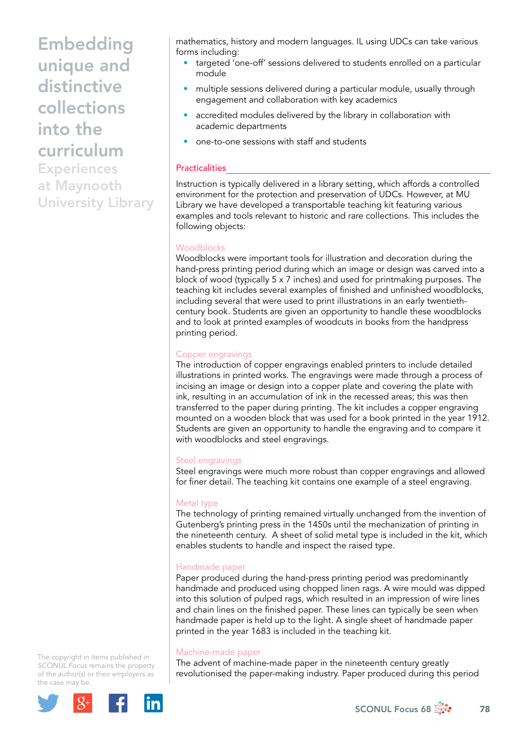**Experiences** at Maynooth University Library mathematics, history and modern languages. IL using UDCs can take various forms including:

- targeted 'one-off' sessions delivered to students enrolled on a particular module
- multiple sessions delivered during a particular module, usually through engagement and collaboration with key academics
- accredited modules delivered by the library in collaboration with academic departments
- one-to-one sessions with staff and students

## **Practicalities**

Instruction is typically delivered in a library setting, which affords a controlled environment for the protection and preservation of UDCs. However, at MU Library we have developed a transportable teaching kit featuring various examples and tools relevant to historic and rare collections. This includes the following objects:

#### **Woodblocks**

Woodblocks were important tools for illustration and decoration during the hand-press printing period during which an image or design was carved into a block of wood (typically 5 x 7 inches) and used for printmaking purposes. The teaching kit includes several examples of finished and unfinished woodblocks, including several that were used to print illustrations in an early twentiethcentury book. Students are given an opportunity to handle these woodblocks and to look at printed examples of woodcuts in books from the handpress printing period.

#### Copper engravings

The introduction of copper engravings enabled printers to include detailed illustrations in printed works. The engravings were made through a process of incising an image or design into a copper plate and covering the plate with ink, resulting in an accumulation of ink in the recessed areas; this was then transferred to the paper during printing. The kit includes a copper engraving mounted on a wooden block that was used for a book printed in the year 1912. Students are given an opportunity to handle the engraving and to compare it with woodblocks and steel engravings.

## Steel engravings

Steel engravings were much more robust than copper engravings and allowed for finer detail. The teaching kit contains one example of a steel engraving.

## Metal type

The technology of printing remained virtually unchanged from the invention of Gutenberg's printing press in the 1450s until the mechanization of printing in the nineteenth century. A sheet of solid metal type is included in the kit, which enables students to handle and inspect the raised type.

## Handmade paper

Paper produced during the hand-press printing period was predominantly handmade and produced using chopped linen rags. A wire mould was dipped into this solution of pulped rags, which resulted in an impression of wire lines and chain lines on the finished paper. These lines can typically be seen when handmade paper is held up to the light. A single sheet of handmade paper printed in the year 1683 is included in the teaching kit.

#### Machine-made paper

The advent of machine-made paper in the nineteenth century greatly revolutionised the paper-making industry. Paper produced during this period

The copyright in items published in *SCONUL Focus* remains the property of the author(s) or their employers as the case may be.

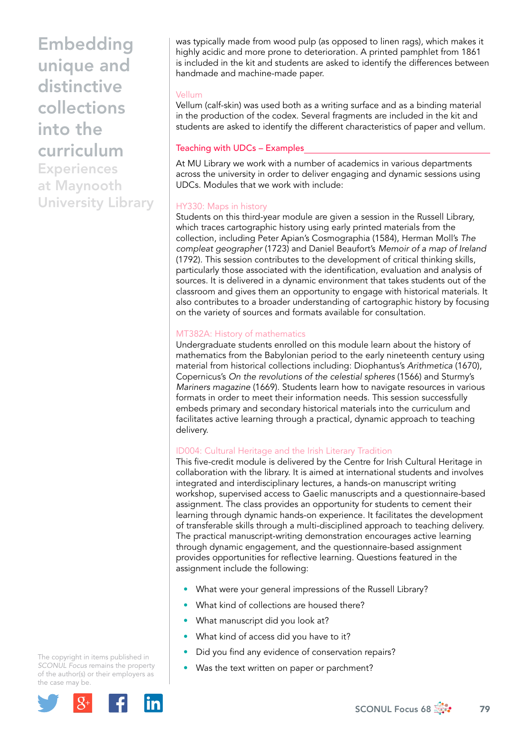Experiences at Maynooth University Library

was typically made from wood pulp (as opposed to linen rags), which makes it highly acidic and more prone to deterioration. A printed pamphlet from 1861 is included in the kit and students are asked to identify the differences between handmade and machine-made paper.

## Vellum

Vellum (calf-skin) was used both as a writing surface and as a binding material in the production of the codex. Several fragments are included in the kit and students are asked to identify the different characteristics of paper and vellum.

# Teaching with UDCs – Examples

At MU Library we work with a number of academics in various departments across the university in order to deliver engaging and dynamic sessions using UDCs. Modules that we work with include:

# HY330: Maps in history

Students on this third-year module are given a session in the Russell Library, which traces cartographic history using early printed materials from the collection, including Peter Apian's Cosmographia (1584), Herman Moll's *The compleat geographer* (1723) and Daniel Beaufort's *Memoir of a map of Ireland* (1792). This session contributes to the development of critical thinking skills, particularly those associated with the identification, evaluation and analysis of sources. It is delivered in a dynamic environment that takes students out of the classroom and gives them an opportunity to engage with historical materials. It also contributes to a broader understanding of cartographic history by focusing on the variety of sources and formats available for consultation.

## MT382A: History of mathematics

Undergraduate students enrolled on this module learn about the history of mathematics from the Babylonian period to the early nineteenth century using material from historical collections including: Diophantus's *Arithmetica* (1670), Copernicus's *On the revolutions of the celestial spheres* (1566) and Sturmy's *Mariners magazine* (1669). Students learn how to navigate resources in various formats in order to meet their information needs. This session successfully embeds primary and secondary historical materials into the curriculum and facilitates active learning through a practical, dynamic approach to teaching delivery.

## ID004: Cultural Heritage and the Irish Literary Tradition

This five-credit module is delivered by the Centre for Irish Cultural Heritage in collaboration with the library. It is aimed at international students and involves integrated and interdisciplinary lectures, a hands-on manuscript writing workshop, supervised access to Gaelic manuscripts and a questionnaire-based assignment. The class provides an opportunity for students to cement their learning through dynamic hands-on experience. It facilitates the development of transferable skills through a multi-disciplined approach to teaching delivery. The practical manuscript-writing demonstration encourages active learning through dynamic engagement, and the questionnaire-based assignment provides opportunities for reflective learning. Questions featured in the assignment include the following:

- What were your general impressions of the Russell Library?
- What kind of collections are housed there?
- What manuscript did you look at?
- What kind of access did you have to it?
- Did you find any evidence of conservation repairs?
- Was the text written on paper or parchment?

The copyright in items published in *SCONUL Focus* remains the property of the author(s) or their employers as the case may be.



SCONUL Focus 68  $\frac{1}{200}$  79